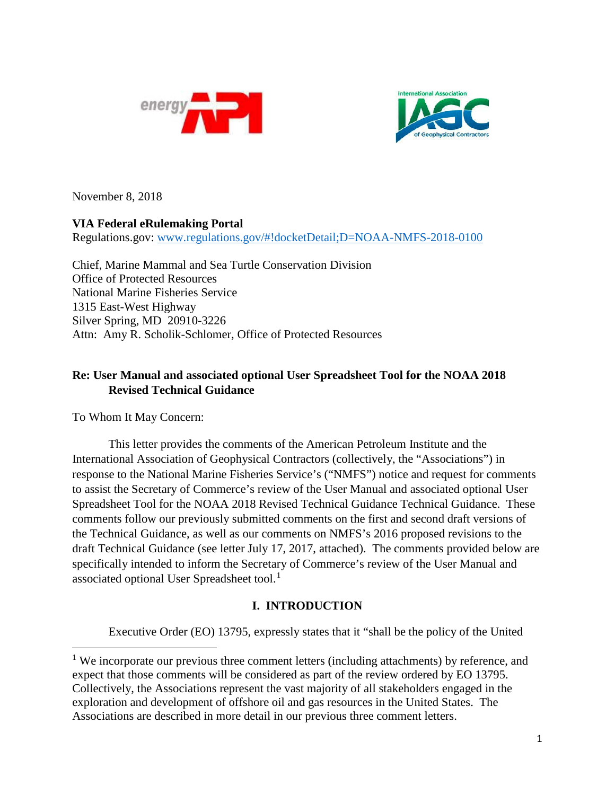



November 8, 2018

# **VIA Federal eRulemaking Portal**

Regulations.gov: [www.regulations.gov/#!docketDetail;D=NOAA-NMFS-2018-0100](http://www.regulations.gov/#!docketDetail;D=NOAA-NMFS-2018-0100)

Chief, Marine Mammal and Sea Turtle Conservation Division Office of Protected Resources National Marine Fisheries Service 1315 East-West Highway Silver Spring, MD 20910-3226 Attn: Amy R. Scholik-Schlomer, Office of Protected Resources

# **Re: User Manual and associated optional User Spreadsheet Tool for the NOAA 2018 Revised Technical Guidance**

To Whom It May Concern:

l

This letter provides the comments of the American Petroleum Institute and the International Association of Geophysical Contractors (collectively, the "Associations") in response to the National Marine Fisheries Service's ("NMFS") notice and request for comments to assist the Secretary of Commerce's review of the User Manual and associated optional User Spreadsheet Tool for the NOAA 2018 Revised Technical Guidance Technical Guidance. These comments follow our previously submitted comments on the first and second draft versions of the Technical Guidance, as well as our comments on NMFS's 2016 proposed revisions to the draft Technical Guidance (see letter July 17, 2017, attached). The comments provided below are specifically intended to inform the Secretary of Commerce's review of the User Manual and associated optional User Spreadsheet tool.<sup>[1](#page-0-0)</sup>

# **I. INTRODUCTION**

Executive Order (EO) 13795, expressly states that it "shall be the policy of the United

<span id="page-0-0"></span><sup>&</sup>lt;sup>1</sup> We incorporate our previous three comment letters (including attachments) by reference, and expect that those comments will be considered as part of the review ordered by EO 13795. Collectively, the Associations represent the vast majority of all stakeholders engaged in the exploration and development of offshore oil and gas resources in the United States. The Associations are described in more detail in our previous three comment letters.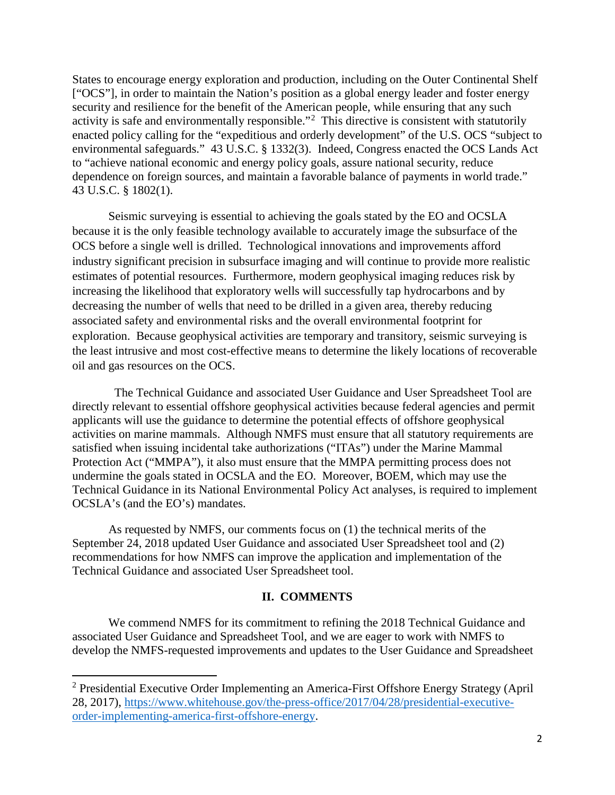States to encourage energy exploration and production, including on the Outer Continental Shelf ["OCS"], in order to maintain the Nation's position as a global energy leader and foster energy security and resilience for the benefit of the American people, while ensuring that any such activity is safe and environmentally responsible."<sup>[2](#page-1-0)</sup> This directive is consistent with statutorily enacted policy calling for the "expeditious and orderly development" of the U.S. OCS "subject to environmental safeguards." 43 U.S.C. § 1332(3). Indeed, Congress enacted the OCS Lands Act to "achieve national economic and energy policy goals, assure national security, reduce dependence on foreign sources, and maintain a favorable balance of payments in world trade." 43 U.S.C. § 1802(1).

Seismic surveying is essential to achieving the goals stated by the EO and OCSLA because it is the only feasible technology available to accurately image the subsurface of the OCS before a single well is drilled. Technological innovations and improvements afford industry significant precision in subsurface imaging and will continue to provide more realistic estimates of potential resources. Furthermore, modern geophysical imaging reduces risk by increasing the likelihood that exploratory wells will successfully tap hydrocarbons and by decreasing the number of wells that need to be drilled in a given area, thereby reducing associated safety and environmental risks and the overall environmental footprint for exploration. Because geophysical activities are temporary and transitory, seismic surveying is the least intrusive and most cost-effective means to determine the likely locations of recoverable oil and gas resources on the OCS.

 The Technical Guidance and associated User Guidance and User Spreadsheet Tool are directly relevant to essential offshore geophysical activities because federal agencies and permit applicants will use the guidance to determine the potential effects of offshore geophysical activities on marine mammals. Although NMFS must ensure that all statutory requirements are satisfied when issuing incidental take authorizations ("ITAs") under the Marine Mammal Protection Act ("MMPA"), it also must ensure that the MMPA permitting process does not undermine the goals stated in OCSLA and the EO. Moreover, BOEM, which may use the Technical Guidance in its National Environmental Policy Act analyses, is required to implement OCSLA's (and the EO's) mandates.

As requested by NMFS, our comments focus on (1) the technical merits of the September 24, 2018 updated User Guidance and associated User Spreadsheet tool and (2) recommendations for how NMFS can improve the application and implementation of the Technical Guidance and associated User Spreadsheet tool.

## **II. COMMENTS**

We commend NMFS for its commitment to refining the 2018 Technical Guidance and associated User Guidance and Spreadsheet Tool, and we are eager to work with NMFS to develop the NMFS-requested improvements and updates to the User Guidance and Spreadsheet

 $\overline{\phantom{a}}$ 

<span id="page-1-0"></span><sup>2</sup> Presidential Executive Order Implementing an America-First Offshore Energy Strategy (April 28, 2017), [https://www.whitehouse.gov/the-press-office/2017/04/28/presidential-executive](https://www.whitehouse.gov/the-press-office/2017/04/28/presidential-executive-order-implementing-america-first-offshore-energy)[order-implementing-america-first-offshore-energy.](https://www.whitehouse.gov/the-press-office/2017/04/28/presidential-executive-order-implementing-america-first-offshore-energy)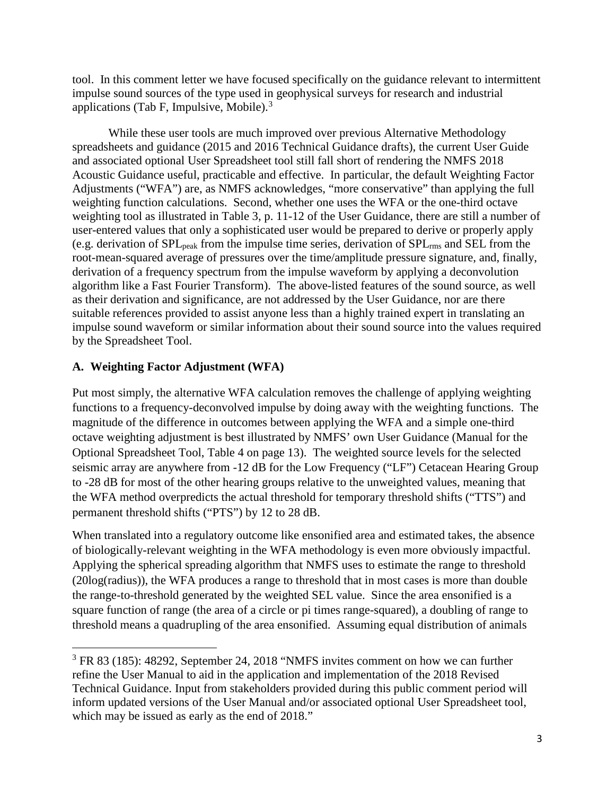tool. In this comment letter we have focused specifically on the guidance relevant to intermittent impulse sound sources of the type used in geophysical surveys for research and industrial applications (Tab F, Impulsive, Mobile). $3$ 

While these user tools are much improved over previous Alternative Methodology spreadsheets and guidance (2015 and 2016 Technical Guidance drafts), the current User Guide and associated optional User Spreadsheet tool still fall short of rendering the NMFS 2018 Acoustic Guidance useful, practicable and effective. In particular, the default Weighting Factor Adjustments ("WFA") are, as NMFS acknowledges, "more conservative" than applying the full weighting function calculations. Second, whether one uses the WFA or the one-third octave weighting tool as illustrated in Table 3, p. 11-12 of the User Guidance, there are still a number of user-entered values that only a sophisticated user would be prepared to derive or properly apply (e.g. derivation of SPLpeak from the impulse time series, derivation of SPLrms and SEL from the root-mean-squared average of pressures over the time/amplitude pressure signature, and, finally, derivation of a frequency spectrum from the impulse waveform by applying a deconvolution algorithm like a Fast Fourier Transform). The above-listed features of the sound source, as well as their derivation and significance, are not addressed by the User Guidance, nor are there suitable references provided to assist anyone less than a highly trained expert in translating an impulse sound waveform or similar information about their sound source into the values required by the Spreadsheet Tool.

## **A. Weighting Factor Adjustment (WFA)**

l

Put most simply, the alternative WFA calculation removes the challenge of applying weighting functions to a frequency-deconvolved impulse by doing away with the weighting functions. The magnitude of the difference in outcomes between applying the WFA and a simple one-third octave weighting adjustment is best illustrated by NMFS' own User Guidance (Manual for the Optional Spreadsheet Tool, Table 4 on page 13). The weighted source levels for the selected seismic array are anywhere from -12 dB for the Low Frequency ("LF") Cetacean Hearing Group to -28 dB for most of the other hearing groups relative to the unweighted values, meaning that the WFA method overpredicts the actual threshold for temporary threshold shifts ("TTS") and permanent threshold shifts ("PTS") by 12 to 28 dB.

When translated into a regulatory outcome like ensonified area and estimated takes, the absence of biologically-relevant weighting in the WFA methodology is even more obviously impactful. Applying the spherical spreading algorithm that NMFS uses to estimate the range to threshold (20log(radius)), the WFA produces a range to threshold that in most cases is more than double the range-to-threshold generated by the weighted SEL value. Since the area ensonified is a square function of range (the area of a circle or pi times range-squared), a doubling of range to threshold means a quadrupling of the area ensonified. Assuming equal distribution of animals

<span id="page-2-0"></span><sup>&</sup>lt;sup>3</sup> FR 83 (185): 48292, September 24, 2018 "NMFS invites comment on how we can further refine the User Manual to aid in the application and implementation of the 2018 Revised Technical Guidance. Input from stakeholders provided during this public comment period will inform updated versions of the User Manual and/or associated optional User Spreadsheet tool, which may be issued as early as the end of 2018."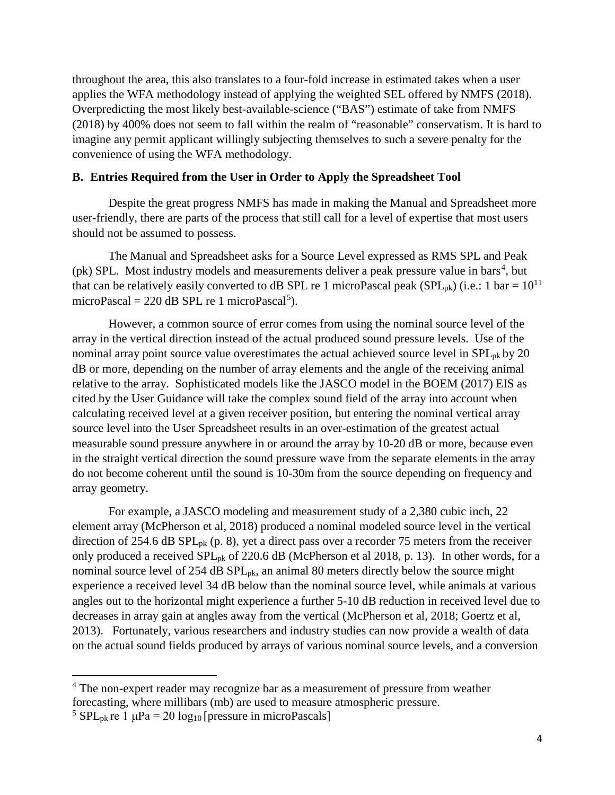throughout the area, this also translates to a four-fold increase in estimated takes when a user applies the WFA methodology instead of applying the weighted SEL offered by NMFS (2018). Overpredicting the most likely best-available-science ("BAS") estimate of take from NMFS (2018) by 400% does not seem to fall within the realm of "reasonable" conservatism. It is hard to imagine any permit applicant willingly subjecting themselves to such a severe penalty for the convenience of using the WFA methodology.

#### **B. Entries Required from the User in Order to Apply the Spreadsheet Tool**

Despite the great progress NMFS has made in making the Manual and Spreadsheet more user-friendly, there are parts of the process that still call for a level of expertise that most users should not be assumed to possess.

The Manual and Spreadsheet asks for a Source Level expressed as RMS SPL and Peak (pk) SPL. Most industry models and measurements deliver a peak pressure value in bars<sup>[4](#page-3-0)</sup>, but that can be relatively easily converted to dB SPL re 1 microPascal peak (SPL<sub>pk</sub>) (i.e.: 1 bar =  $10^{11}$ microPascal = 220 dB SPL re 1 microPascal<sup>[5](#page-3-1)</sup>).

However, a common source of error comes from using the nominal source level of the array in the vertical direction instead of the actual produced sound pressure levels. Use of the nominal array point source value overestimates the actual achieved source level in  $SPL_{pk}$  by 20 dB or more, depending on the number of array elements and the angle of the receiving animal relative to the array. Sophisticated models like the JASCO model in the BOEM (2017) EIS as cited by the User Guidance will take the complex sound field of the array into account when calculating received level at a given receiver position, but entering the nominal vertical array source level into the User Spreadsheet results in an over-estimation of the greatest actual measurable sound pressure anywhere in or around the array by 10-20 dB or more, because even in the straight vertical direction the sound pressure wave from the separate elements in the array do not become coherent until the sound is 10-30m from the source depending on frequency and array geometry.

For example, a JASCO modeling and measurement study of a 2,380 cubic inch, 22 element array (McPherson et al, 2018) produced a nominal modeled source level in the vertical direction of 254.6 dB  $SPL_{pk}$  (p. 8), yet a direct pass over a recorder 75 meters from the receiver only produced a received SPL<sub>pk</sub> of 220.6 dB (McPherson et al 2018, p. 13). In other words, for a nominal source level of 254 dB SPL<sub>pk</sub>, an animal 80 meters directly below the source might experience a received level 34 dB below than the nominal source level, while animals at various angles out to the horizontal might experience a further 5-10 dB reduction in received level due to decreases in array gain at angles away from the vertical (McPherson et al, 2018; Goertz et al, 2013). Fortunately, various researchers and industry studies can now provide a wealth of data on the actual sound fields produced by arrays of various nominal source levels, and a conversion

 $\overline{\phantom{a}}$ 

<span id="page-3-0"></span><sup>&</sup>lt;sup>4</sup> The non-expert reader may recognize bar as a measurement of pressure from weather forecasting, where millibars (mb) are used to measure atmospheric pressure.

<span id="page-3-1"></span><sup>&</sup>lt;sup>5</sup> SPL<sub>pk</sub> re 1  $\mu$ Pa = 20 log<sub>10</sub> [pressure in microPascals]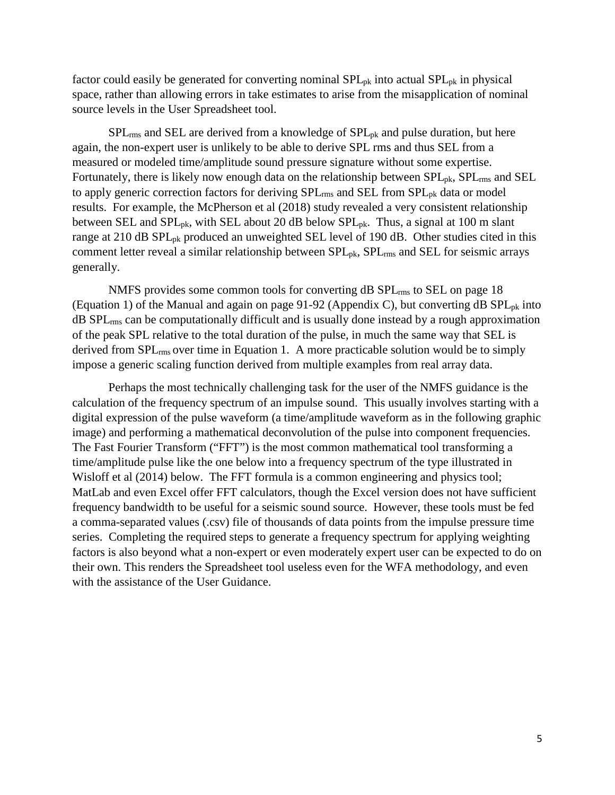factor could easily be generated for converting nominal  $SPL_{pk}$  into actual  $SPL_{pk}$  in physical space, rather than allowing errors in take estimates to arise from the misapplication of nominal source levels in the User Spreadsheet tool.

 $SPL_{rms}$  and SEL are derived from a knowledge of  $SPL_{pk}$  and pulse duration, but here again, the non-expert user is unlikely to be able to derive SPL rms and thus SEL from a measured or modeled time/amplitude sound pressure signature without some expertise. Fortunately, there is likely now enough data on the relationship between  $SPL_{\text{pk}}$ ,  $SPL_{\text{rms}}$  and  $SEL$ to apply generic correction factors for deriving SPL<sub>rms</sub> and SEL from SPL<sub>pk</sub> data or model results. For example, the McPherson et al (2018) study revealed a very consistent relationship between SEL and SPL<sub>pk</sub>, with SEL about 20 dB below SPL<sub>pk</sub>. Thus, a signal at 100 m slant range at 210 dB SPL<sub>pk</sub> produced an unweighted SEL level of 190 dB. Other studies cited in this comment letter reveal a similar relationship between  $SPL_{pk}$ ,  $SPL_{rms}$  and  $SEL$  for seismic arrays generally.

NMFS provides some common tools for converting dB SPL<sub>rms</sub> to SEL on page 18 (Equation 1) of the Manual and again on page 91-92 (Appendix C), but converting dB  $SPL_{pk}$  into dB SPLrms can be computationally difficult and is usually done instead by a rough approximation of the peak SPL relative to the total duration of the pulse, in much the same way that SEL is derived from SPLrms over time in Equation 1. A more practicable solution would be to simply impose a generic scaling function derived from multiple examples from real array data.

Perhaps the most technically challenging task for the user of the NMFS guidance is the calculation of the frequency spectrum of an impulse sound. This usually involves starting with a digital expression of the pulse waveform (a time/amplitude waveform as in the following graphic image) and performing a mathematical deconvolution of the pulse into component frequencies. The Fast Fourier Transform ("FFT") is the most common mathematical tool transforming a time/amplitude pulse like the one below into a frequency spectrum of the type illustrated in Wisloff et al (2014) below. The FFT formula is a common engineering and physics tool; MatLab and even Excel offer FFT calculators, though the Excel version does not have sufficient frequency bandwidth to be useful for a seismic sound source. However, these tools must be fed a comma-separated values (.csv) file of thousands of data points from the impulse pressure time series. Completing the required steps to generate a frequency spectrum for applying weighting factors is also beyond what a non-expert or even moderately expert user can be expected to do on their own. This renders the Spreadsheet tool useless even for the WFA methodology, and even with the assistance of the User Guidance.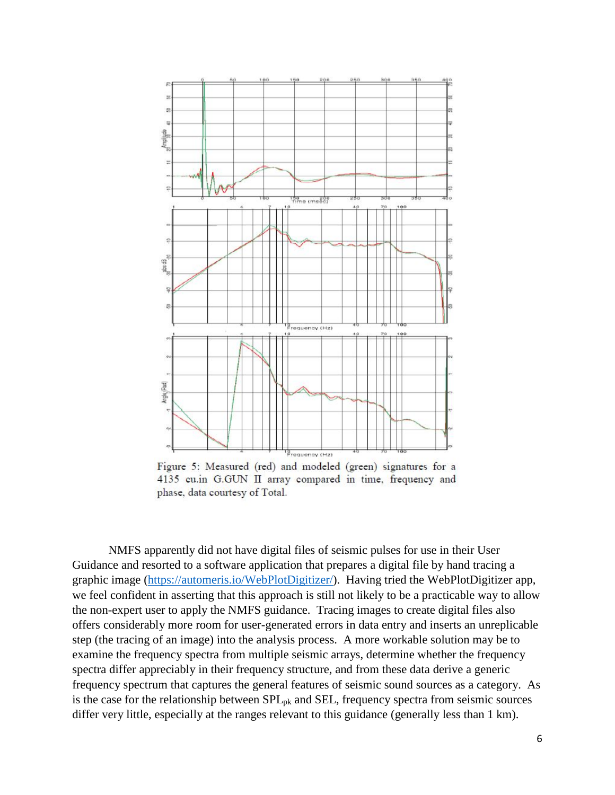

Figure 5: Measured (red) and modeled (green) signatures for a 4135 cu.in G.GUN II array compared in time, frequency and phase, data courtesy of Total.

NMFS apparently did not have digital files of seismic pulses for use in their User Guidance and resorted to a software application that prepares a digital file by hand tracing a graphic image [\(https://automeris.io/WebPlotDigitizer/\)](https://automeris.io/WebPlotDigitizer/). Having tried the WebPlotDigitizer app, we feel confident in asserting that this approach is still not likely to be a practicable way to allow the non-expert user to apply the NMFS guidance. Tracing images to create digital files also offers considerably more room for user-generated errors in data entry and inserts an unreplicable step (the tracing of an image) into the analysis process. A more workable solution may be to examine the frequency spectra from multiple seismic arrays, determine whether the frequency spectra differ appreciably in their frequency structure, and from these data derive a generic frequency spectrum that captures the general features of seismic sound sources as a category. As is the case for the relationship between SPLpk and SEL, frequency spectra from seismic sources differ very little, especially at the ranges relevant to this guidance (generally less than 1 km).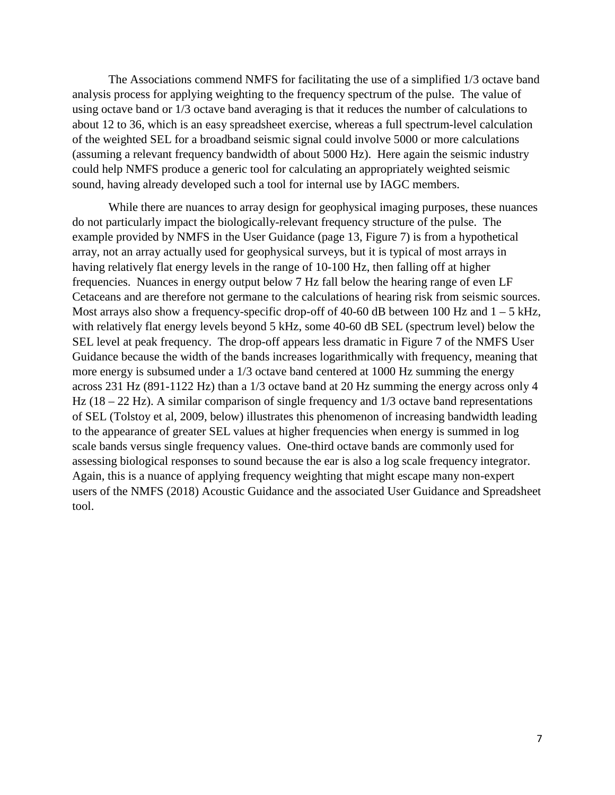The Associations commend NMFS for facilitating the use of a simplified 1/3 octave band analysis process for applying weighting to the frequency spectrum of the pulse. The value of using octave band or 1/3 octave band averaging is that it reduces the number of calculations to about 12 to 36, which is an easy spreadsheet exercise, whereas a full spectrum-level calculation of the weighted SEL for a broadband seismic signal could involve 5000 or more calculations (assuming a relevant frequency bandwidth of about 5000 Hz). Here again the seismic industry could help NMFS produce a generic tool for calculating an appropriately weighted seismic sound, having already developed such a tool for internal use by IAGC members.

While there are nuances to array design for geophysical imaging purposes, these nuances do not particularly impact the biologically-relevant frequency structure of the pulse. The example provided by NMFS in the User Guidance (page 13, Figure 7) is from a hypothetical array, not an array actually used for geophysical surveys, but it is typical of most arrays in having relatively flat energy levels in the range of 10-100 Hz, then falling off at higher frequencies. Nuances in energy output below 7 Hz fall below the hearing range of even LF Cetaceans and are therefore not germane to the calculations of hearing risk from seismic sources. Most arrays also show a frequency-specific drop-off of 40-60 dB between 100 Hz and  $1 - 5$  kHz, with relatively flat energy levels beyond 5 kHz, some 40-60 dB SEL (spectrum level) below the SEL level at peak frequency. The drop-off appears less dramatic in Figure 7 of the NMFS User Guidance because the width of the bands increases logarithmically with frequency, meaning that more energy is subsumed under a 1/3 octave band centered at 1000 Hz summing the energy across 231 Hz (891-1122 Hz) than a 1/3 octave band at 20 Hz summing the energy across only 4 Hz (18 – 22 Hz). A similar comparison of single frequency and 1/3 octave band representations of SEL (Tolstoy et al, 2009, below) illustrates this phenomenon of increasing bandwidth leading to the appearance of greater SEL values at higher frequencies when energy is summed in log scale bands versus single frequency values. One-third octave bands are commonly used for assessing biological responses to sound because the ear is also a log scale frequency integrator. Again, this is a nuance of applying frequency weighting that might escape many non-expert users of the NMFS (2018) Acoustic Guidance and the associated User Guidance and Spreadsheet tool.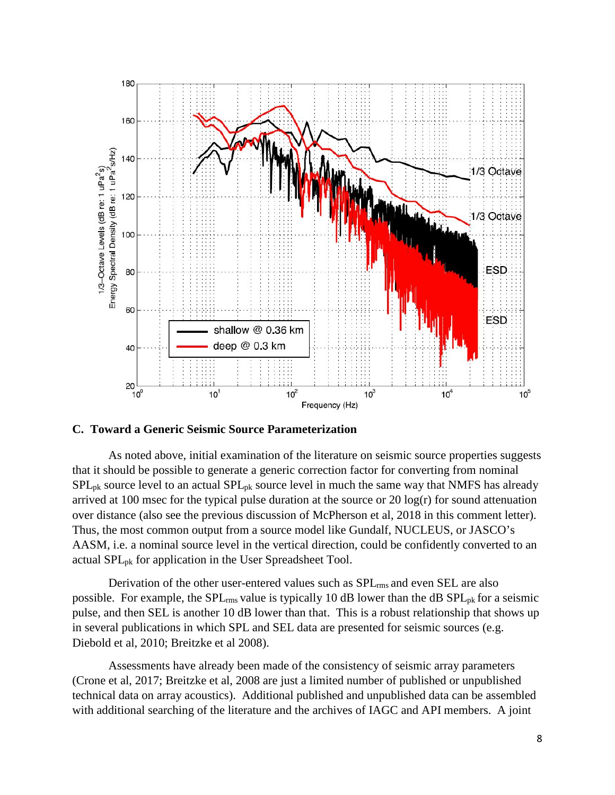

#### **C. Toward a Generic Seismic Source Parameterization**

As noted above, initial examination of the literature on seismic source properties suggests that it should be possible to generate a generic correction factor for converting from nominal  $SPL_{pk}$  source level to an actual  $SPL_{pk}$  source level in much the same way that NMFS has already arrived at 100 msec for the typical pulse duration at the source or 20 log(r) for sound attenuation over distance (also see the previous discussion of McPherson et al, 2018 in this comment letter). Thus, the most common output from a source model like Gundalf, NUCLEUS, or JASCO's AASM, i.e. a nominal source level in the vertical direction, could be confidently converted to an actual SPLpk for application in the User Spreadsheet Tool.

Derivation of the other user-entered values such as SPLrms and even SEL are also possible. For example, the  $SPL_{rms}$  value is typically 10 dB lower than the dB  $SPL_{pk}$  for a seismic pulse, and then SEL is another 10 dB lower than that. This is a robust relationship that shows up in several publications in which SPL and SEL data are presented for seismic sources (e.g. Diebold et al, 2010; Breitzke et al 2008).

Assessments have already been made of the consistency of seismic array parameters (Crone et al, 2017; Breitzke et al, 2008 are just a limited number of published or unpublished technical data on array acoustics). Additional published and unpublished data can be assembled with additional searching of the literature and the archives of IAGC and API members. A joint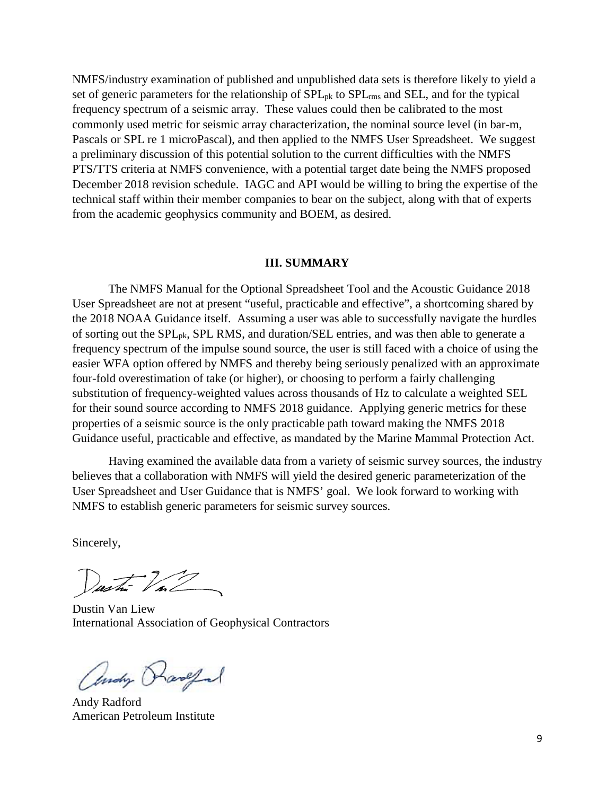NMFS/industry examination of published and unpublished data sets is therefore likely to yield a set of generic parameters for the relationship of  $SPL_{pk}$  to  $SPL_{rms}$  and  $SEL$ , and for the typical frequency spectrum of a seismic array. These values could then be calibrated to the most commonly used metric for seismic array characterization, the nominal source level (in bar-m, Pascals or SPL re 1 microPascal), and then applied to the NMFS User Spreadsheet. We suggest a preliminary discussion of this potential solution to the current difficulties with the NMFS PTS/TTS criteria at NMFS convenience, with a potential target date being the NMFS proposed December 2018 revision schedule. IAGC and API would be willing to bring the expertise of the technical staff within their member companies to bear on the subject, along with that of experts from the academic geophysics community and BOEM, as desired.

#### **III. SUMMARY**

The NMFS Manual for the Optional Spreadsheet Tool and the Acoustic Guidance 2018 User Spreadsheet are not at present "useful, practicable and effective", a shortcoming shared by the 2018 NOAA Guidance itself. Assuming a user was able to successfully navigate the hurdles of sorting out the SPL<sub>pk</sub>, SPL RMS, and duration/SEL entries, and was then able to generate a frequency spectrum of the impulse sound source, the user is still faced with a choice of using the easier WFA option offered by NMFS and thereby being seriously penalized with an approximate four-fold overestimation of take (or higher), or choosing to perform a fairly challenging substitution of frequency-weighted values across thousands of Hz to calculate a weighted SEL for their sound source according to NMFS 2018 guidance. Applying generic metrics for these properties of a seismic source is the only practicable path toward making the NMFS 2018 Guidance useful, practicable and effective, as mandated by the Marine Mammal Protection Act.

Having examined the available data from a variety of seismic survey sources, the industry believes that a collaboration with NMFS will yield the desired generic parameterization of the User Spreadsheet and User Guidance that is NMFS' goal. We look forward to working with NMFS to establish generic parameters for seismic survey sources.

Sincerely,

Justin Val

Dustin Van Liew International Association of Geophysical Contractors

Andy Rangel

Andy Radford American Petroleum Institute